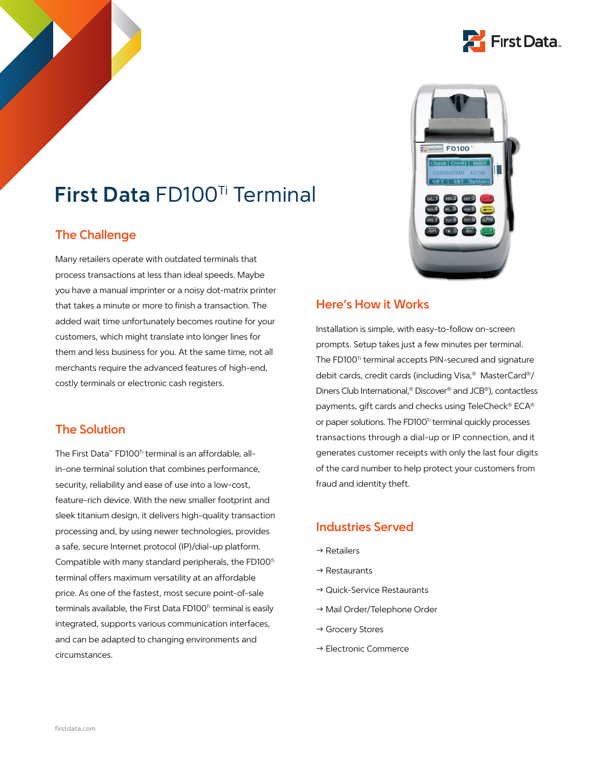

# **First Data** FD100Ti Terminal

## **The Challenge**

Many retailers operate with outdated terminals that process transactions at less than ideal speeds. Maybe you have a manual imprinter or a noisy dot-matrix printer that takes a minute or more to finish a transaction. The added wait time unfortunately becomes routine for your customers, which might translate into longer lines for them and less business for you. At the same time, not all merchants require the advanced features of high-end, costly terminals or electronic cash registers.

## **The Solution**

The First Data™ FD100<sup>™</sup> terminal is an affordable, allin-one terminal solution that combines performance, security, reliability and ease of use into a low-cost, feature-rich device. With the new smaller footprint and sleek titanium design, it delivers high-quality transaction processing and, by using newer technologies, provides a safe, secure Internet protocol (IP)/dial-up platform. Compatible with many standard peripherals, the FD100<sup>Ti</sup> terminal offers maximum versatility at an affordable price. As one of the fastest, most secure point-of-sale terminals available, the First Data FD100<sup>Ti</sup> terminal is easily integrated, supports various communication interfaces, and can be adapted to changing environments and circumstances.



## **Here's How it Works**

Installation is simple, with easy-to-follow on-screen prompts. Setup takes just a few minutes per terminal. The FD100<sup>Ti</sup> terminal accepts PIN-secured and signature debit cards, credit cards (including Visa,® MasterCard®/ Diners Club International,® Discover® and JCB®), contactless payments, gift cards and checks using TeleCheck® ECA® or paper solutions. The FD100<sup>Ti</sup> terminal quickly processes transactions through a dial-up or IP connection, and it generates customer receipts with only the last four digits of the card number to help protect your customers from fraud and identity theft.

## **Industries Served**

- $\rightarrow$  Retailers
- $\rightarrow$  Restaurants
- $\rightarrow$  Quick-Service Restaurants
- $\rightarrow$  Mail Order/Telephone Order
- $\rightarrow$  Grocery Stores
- $\rightarrow$  Electronic Commerce